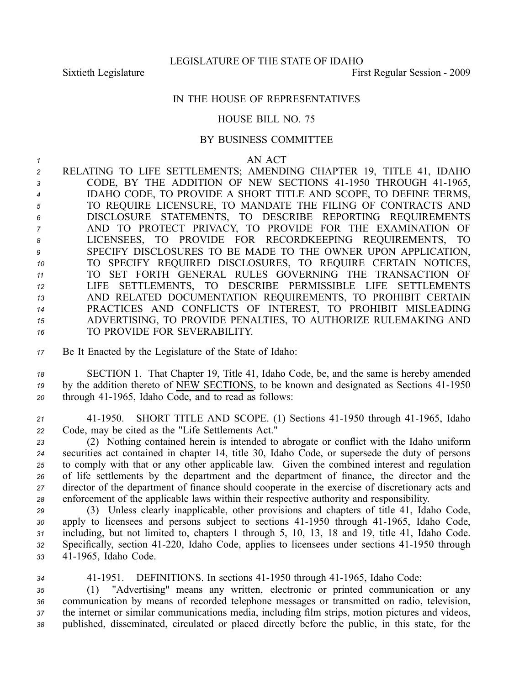## IN THE HOUSE OF REPRESENTATIVES

## HOUSE BILL NO. 75

## BY BUSINESS COMMITTEE

## *1* AN ACT

 RELATING TO LIFE SETTLEMENTS; AMENDING CHAPTER 19, TITLE 41, IDAHO 3 CODE, BY THE ADDITION OF NEW SECTIONS 41-1950 THROUGH 41-1965, IDAHO CODE, TO PROVIDE A SHORT TITLE AND SCOPE, TO DEFINE TERMS, TO REQUIRE LICENSURE, TO MANDATE THE FILING OF CONTRACTS AND DISCLOSURE STATEMENTS, TO DESCRIBE REPORTING REQUIREMENTS AND TO PROTECT PRIVACY, TO PROVIDE FOR THE EXAMINATION OF LICENSEES, TO PROVIDE FOR RECORDKEEPING REQUIREMENTS, TO SPECIFY DISCLOSURES TO BE MADE TO THE OWNER UPON APPLICATION, TO SPECIFY REQUIRED DISCLOSURES, TO REQUIRE CERTAIN NOTICES, TO SET FORTH GENERAL RULES GOVERNING THE TRANSACTION OF LIFE SETTLEMENTS, TO DESCRIBE PERMISSIBLE LIFE SETTLEMENTS AND RELATED DOCUMENTATION REQUIREMENTS, TO PROHIBIT CERTAIN PRACTICES AND CONFLICTS OF INTEREST, TO PROHIBIT MISLEADING ADVERTISING, TO PROVIDE PENALTIES, TO AUTHORIZE RULEMAKING AND TO PROVIDE FOR SEVERABILITY.

*<sup>17</sup>* Be It Enacted by the Legislature of the State of Idaho:

*<sup>18</sup>* SECTION 1. That Chapter 19, Title 41, Idaho Code, be, and the same is hereby amended <sup>19</sup> by the addition thereto of NEW SECTIONS, to be known and designated as Sections 41-1950 20 through 41-1965, Idaho Code, and to read as follows:

*<sup>21</sup>* 411950. SHORT TITLE AND SCOPE. (1) Sections 411950 through 411965, Idaho *<sup>22</sup>* Code, may be cited as the "Life Settlements Act."

 (2) Nothing contained herein is intended to abrogate or conflict with the Idaho uniform securities act contained in chapter 14, title 30, Idaho Code, or supersede the duty of persons to comply with that or any other applicable law. Given the combined interest and regulation of life settlements by the department and the department of finance, the director and the director of the department of finance should cooperate in the exercise of discretionary acts and enforcement of the applicable laws within their respective authority and responsibility.

*<sup>29</sup>* (3) Unless clearly inapplicable, other provisions and chapters of title 41, Idaho Code, 30 apply to licensees and persons subject to sections 41-1950 through 41-1965, Idaho Code, *<sup>31</sup>* including, but not limited to, chapters 1 through 5, 10, 13, 18 and 19, title 41, Idaho Code. 32 Specifically, section 41-220, Idaho Code, applies to licensees under sections 41-1950 through 33 41-1965, Idaho Code.

 411951. DEFINITIONS. In sections 411950 through 411965, Idaho Code: (1) "Advertising" means any written, electronic or printed communication or any communication by means of recorded telephone messages or transmitted on radio, television, the internet or similar communications media, including film strips, motion pictures and videos, published, disseminated, circulated or placed directly before the public, in this state, for the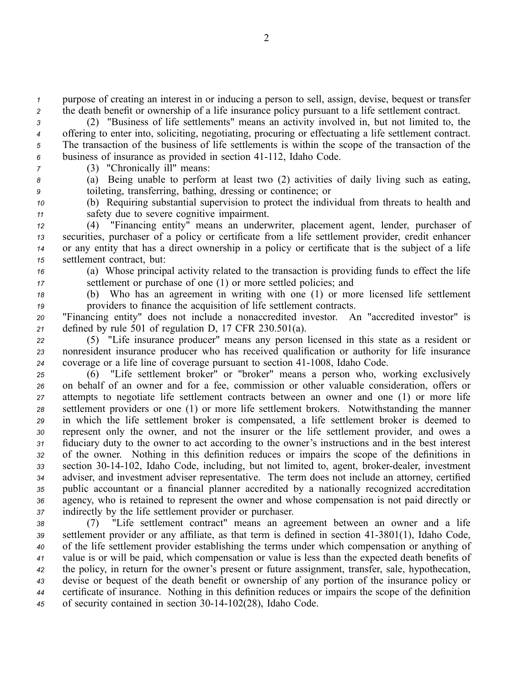*<sup>1</sup>* purpose of creating an interest in or inducing <sup>a</sup> person to sell, assign, devise, bequest or transfer *<sup>2</sup>* the death benefit or ownership of <sup>a</sup> life insurance policy pursuan<sup>t</sup> to <sup>a</sup> life settlement contract.

 (2) "Business of life settlements" means an activity involved in, but not limited to, the offering to enter into, soliciting, negotiating, procuring or effectuating <sup>a</sup> life settlement contract. The transaction of the business of life settlements is within the scope of the transaction of the 6 business of insurance as provided in section 41-112, Idaho Code.

*<sup>7</sup>* (3) "Chronically ill" means:

*<sup>8</sup>* (a) Being unable to perform at least two (2) activities of daily living such as eating, *<sup>9</sup>* toileting, transferring, bathing, dressing or continence; or

*<sup>10</sup>* (b) Requiring substantial supervision to protect the individual from threats to health and *<sup>11</sup>* safety due to severe cognitive impairment.

 (4) "Financing entity" means an underwriter, placement agent, lender, purchaser of securities, purchaser of <sup>a</sup> policy or certificate from <sup>a</sup> life settlement provider, credit enhancer or any entity that has <sup>a</sup> direct ownership in <sup>a</sup> policy or certificate that is the subject of <sup>a</sup> life settlement contract, but:

*<sup>16</sup>* (a) Whose principal activity related to the transaction is providing funds to effect the life *<sup>17</sup>* settlement or purchase of one (1) or more settled policies; and

*<sup>18</sup>* (b) Who has an agreemen<sup>t</sup> in writing with one (1) or more licensed life settlement *<sup>19</sup>* providers to finance the acquisition of life settlement contracts.

*<sup>20</sup>* "Financing entity" does not include <sup>a</sup> nonaccredited investor. An "accredited investor" is *<sup>21</sup>* defined by rule 501 of regulation D, 17 CFR 230.501(a).

*<sup>22</sup>* (5) "Life insurance producer" means any person licensed in this state as <sup>a</sup> resident or *<sup>23</sup>* nonresident insurance producer who has received qualification or authority for life insurance *24* coverage or a life line of coverage pursuant to section 41-1008, Idaho Code.

 (6) "Life settlement broker" or "broker" means <sup>a</sup> person who, working exclusively on behalf of an owner and for <sup>a</sup> fee, commission or other valuable consideration, offers or attempts to negotiate life settlement contracts between an owner and one (1) or more life settlement providers or one (1) or more life settlement brokers. Notwithstanding the manner in which the life settlement broker is compensated, <sup>a</sup> life settlement broker is deemed to represen<sup>t</sup> only the owner, and not the insurer or the life settlement provider, and owes <sup>a</sup> fiduciary duty to the owner to act according to the owner's instructions and in the best interest of the owner. Nothing in this definition reduces or impairs the scope of the definitions in 33 section 30-14-102, Idaho Code, including, but not limited to, agent, broker-dealer, investment adviser, and investment adviser representative. The term does not include an attorney, certified public accountant or <sup>a</sup> financial planner accredited by <sup>a</sup> nationally recognized accreditation agency, who is retained to represen<sup>t</sup> the owner and whose compensation is not paid directly or indirectly by the life settlement provider or purchaser.

 (7) "Life settlement contract" means an agreemen<sup>t</sup> between an owner and <sup>a</sup> life settlement provider or any affiliate, as that term is defined in section 413801(1), Idaho Code, of the life settlement provider establishing the terms under which compensation or anything of value is or will be paid, which compensation or value is less than the expected death benefits of the policy, in return for the owner's presen<sup>t</sup> or future assignment, transfer, sale, hypothecation, devise or bequest of the death benefit or ownership of any portion of the insurance policy or certificate of insurance. Nothing in this definition reduces or impairs the scope of the definition 45 of security contained in section 30-14-102(28), Idaho Code.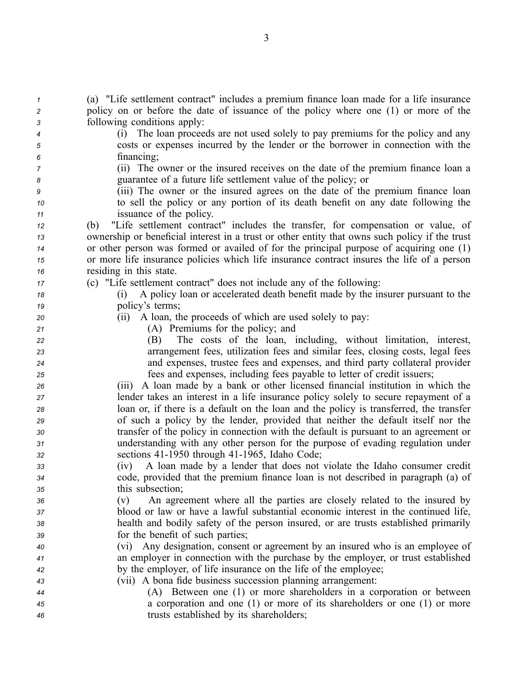| $\mathbf{1}$ | (a) "Life settlement contract" includes a premium finance loan made for a life insurance                                                          |
|--------------|---------------------------------------------------------------------------------------------------------------------------------------------------|
| 2            | policy on or before the date of issuance of the policy where one (1) or more of the                                                               |
| 3            | following conditions apply:                                                                                                                       |
| 4            | (i) The loan proceeds are not used solely to pay premiums for the policy and any                                                                  |
| 5            | costs or expenses incurred by the lender or the borrower in connection with the                                                                   |
| 6            | financing;                                                                                                                                        |
| 7            | (ii) The owner or the insured receives on the date of the premium finance loan a<br>guarantee of a future life settlement value of the policy; or |
| 8            | (iii) The owner or the insured agrees on the date of the premium finance loan                                                                     |
| 9            | to sell the policy or any portion of its death benefit on any date following the                                                                  |
| 10           | issuance of the policy.                                                                                                                           |
| 11           | "Life settlement contract" includes the transfer, for compensation or value, of<br>(b)                                                            |
| 12           | ownership or beneficial interest in a trust or other entity that owns such policy if the trust                                                    |
| 13           | or other person was formed or availed of for the principal purpose of acquiring one (1)                                                           |
| 14           | or more life insurance policies which life insurance contract insures the life of a person                                                        |
| 15           | residing in this state.                                                                                                                           |
| 16           | (c) "Life settlement contract" does not include any of the following:                                                                             |
| 17           | A policy loan or accelerated death benefit made by the insurer pursuant to the<br>(1)                                                             |
| 18           | policy's terms;                                                                                                                                   |
| 19<br>20     | (ii) A loan, the proceeds of which are used solely to pay:                                                                                        |
|              | (A) Premiums for the policy; and                                                                                                                  |
| 21<br>22     | The costs of the loan, including, without limitation, interest,<br>(B)                                                                            |
| 23           | arrangement fees, utilization fees and similar fees, closing costs, legal fees                                                                    |
| 24           | and expenses, trustee fees and expenses, and third party collateral provider                                                                      |
| 25           | fees and expenses, including fees payable to letter of credit issuers;                                                                            |
| 26           | A loan made by a bank or other licensed financial institution in which the<br>(111)                                                               |
| 27           | lender takes an interest in a life insurance policy solely to secure repayment of a                                                               |
| 28           | loan or, if there is a default on the loan and the policy is transferred, the transfer                                                            |
| 29           | of such a policy by the lender, provided that neither the default itself nor the                                                                  |
| 30           | transfer of the policy in connection with the default is pursuant to an agreement or                                                              |
| 31           | understanding with any other person for the purpose of evading regulation under                                                                   |
| 32           | sections 41-1950 through 41-1965, Idaho Code;                                                                                                     |
| 33           | A loan made by a lender that does not violate the Idaho consumer credit<br>(iv)                                                                   |
| 34           | code, provided that the premium finance loan is not described in paragraph (a) of                                                                 |
| 35           | this subsection;                                                                                                                                  |
| 36           | An agreement where all the parties are closely related to the insured by<br>(v)                                                                   |
| 37           | blood or law or have a lawful substantial economic interest in the continued life,                                                                |
| 38           | health and bodily safety of the person insured, or are trusts established primarily                                                               |
| 39           | for the benefit of such parties;                                                                                                                  |
| 40           | (vi) Any designation, consent or agreement by an insured who is an employee of                                                                    |
| 41           | an employer in connection with the purchase by the employer, or trust established                                                                 |
| 42           | by the employer, of life insurance on the life of the employee;                                                                                   |
| 43           | (vii) A bona fide business succession planning arrangement:                                                                                       |
| 44           | (A) Between one (1) or more shareholders in a corporation or between                                                                              |
| 45           | a corporation and one (1) or more of its shareholders or one (1) or more                                                                          |
| 46           | trusts established by its shareholders;                                                                                                           |
|              |                                                                                                                                                   |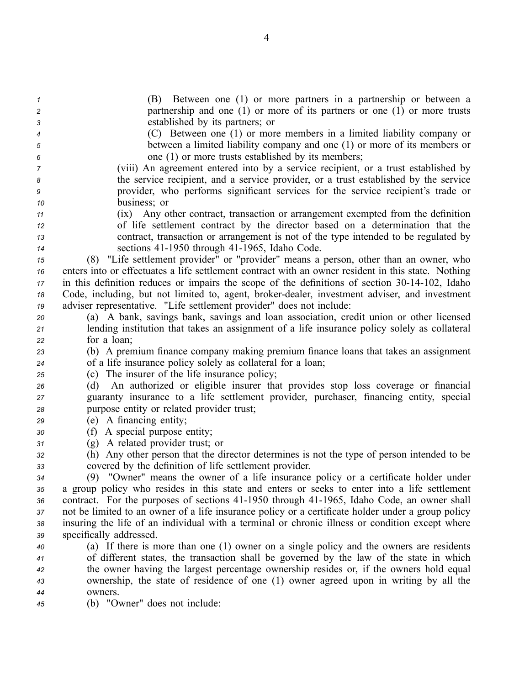| $\mathcal I$   | Between one (1) or more partners in a partnership or between a<br>(B)                                                                   |
|----------------|-----------------------------------------------------------------------------------------------------------------------------------------|
| $\overline{c}$ | partnership and one $(1)$ or more of its partners or one $(1)$ or more trusts                                                           |
| 3              | established by its partners; or                                                                                                         |
| 4              | (C) Between one (1) or more members in a limited liability company or                                                                   |
| 5              | between a limited liability company and one (1) or more of its members or                                                               |
| 6              | one (1) or more trusts established by its members;                                                                                      |
| 7              | (viii) An agreement entered into by a service recipient, or a trust established by                                                      |
| 8              | the service recipient, and a service provider, or a trust established by the service                                                    |
| 9              | provider, who performs significant services for the service recipient's trade or                                                        |
| 10             | business; or                                                                                                                            |
| 11             | (ix) Any other contract, transaction or arrangement exempted from the definition                                                        |
| 12             | of life settlement contract by the director based on a determination that the                                                           |
| 13             | contract, transaction or arrangement is not of the type intended to be regulated by                                                     |
| 14             | sections 41-1950 through 41-1965, Idaho Code.                                                                                           |
| 15             | (8) "Life settlement provider" or "provider" means a person, other than an owner, who                                                   |
| 16             | enters into or effectuates a life settlement contract with an owner resident in this state. Nothing                                     |
| 17             | in this definition reduces or impairs the scope of the definitions of section 30-14-102, Idaho                                          |
| 18             | Code, including, but not limited to, agent, broker-dealer, investment adviser, and investment                                           |
| 19             | adviser representative. "Life settlement provider" does not include:                                                                    |
| 20             | (a) A bank, savings bank, savings and loan association, credit union or other licensed                                                  |
| 21             | lending institution that takes an assignment of a life insurance policy solely as collateral                                            |
| 22             | for a loan;                                                                                                                             |
| 23             | (b) A premium finance company making premium finance loans that takes an assignment                                                     |
| 24             | of a life insurance policy solely as collateral for a loan;                                                                             |
| 25             | (c) The insurer of the life insurance policy;<br>An authorized or eligible insurer that provides stop loss coverage or financial<br>(d) |
| 26             | guaranty insurance to a life settlement provider, purchaser, financing entity, special                                                  |
| 27             | purpose entity or related provider trust;                                                                                               |
| 28<br>29       | (e) A financing entity;                                                                                                                 |
| 30             | A special purpose entity;<br>(f)                                                                                                        |
| 31             | (g) A related provider trust; or                                                                                                        |
| 32             | Any other person that the director determines is not the type of person intended to be<br>(h)                                           |
| 33             | covered by the definition of life settlement provider.                                                                                  |
| 34             | (9) "Owner" means the owner of a life insurance policy or a certificate holder under                                                    |
| 35             | a group policy who resides in this state and enters or seeks to enter into a life settlement                                            |
| 36             | contract. For the purposes of sections 41-1950 through 41-1965, Idaho Code, an owner shall                                              |
| 37             | not be limited to an owner of a life insurance policy or a certificate holder under a group policy                                      |
| 38             | insuring the life of an individual with a terminal or chronic illness or condition except where                                         |
| 39             | specifically addressed.                                                                                                                 |
| 40             | (a) If there is more than one (1) owner on a single policy and the owners are residents                                                 |
| 41             | of different states, the transaction shall be governed by the law of the state in which                                                 |
| 42             | the owner having the largest percentage ownership resides or, if the owners hold equal                                                  |
| 43             | ownership, the state of residence of one (1) owner agreed upon in writing by all the                                                    |
| 44             | owners.                                                                                                                                 |
| 45             | (b) "Owner" does not include:                                                                                                           |
|                |                                                                                                                                         |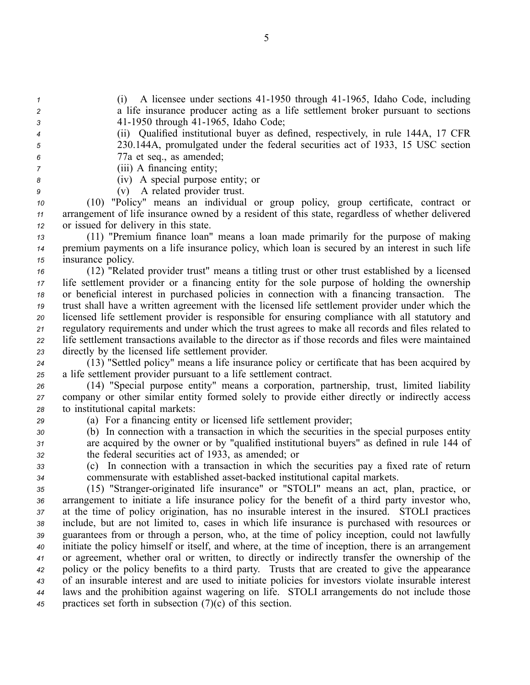*1* (i) A licensee under sections 41-1950 through 41-1965, Idaho Code, including *<sup>2</sup>* <sup>a</sup> life insurance producer acting as <sup>a</sup> life settlement broker pursuan<sup>t</sup> to sections *3* 41-1950 through 41-1965, Idaho Code;

- *<sup>4</sup>* (ii) Qualified institutional buyer as defined, respectively, in rule 144A, 17 CFR *<sup>5</sup>* 230.144A, promulgated under the federal securities act of 1933, 15 USC section *<sup>6</sup>* 77a et seq., as amended;
- *<sup>7</sup>* (iii) A financing entity;
- *<sup>8</sup>* (iv) A special purpose entity; or

*<sup>9</sup>* (v) A related provider trust.

*<sup>10</sup>* (10) "Policy" means an individual or group policy, group certificate, contract or *<sup>11</sup>* arrangemen<sup>t</sup> of life insurance owned by <sup>a</sup> resident of this state, regardless of whether delivered *<sup>12</sup>* or issued for delivery in this state.

*<sup>13</sup>* (11) "Premium finance loan" means <sup>a</sup> loan made primarily for the purpose of making *<sup>14</sup>* premium payments on <sup>a</sup> life insurance policy, which loan is secured by an interest in such life *<sup>15</sup>* insurance policy.

 (12) "Related provider trust" means <sup>a</sup> titling trust or other trust established by <sup>a</sup> licensed life settlement provider or <sup>a</sup> financing entity for the sole purpose of holding the ownership or beneficial interest in purchased policies in connection with <sup>a</sup> financing transaction. The trust shall have <sup>a</sup> written agreemen<sup>t</sup> with the licensed life settlement provider under which the licensed life settlement provider is responsible for ensuring compliance with all statutory and regulatory requirements and under which the trust agrees to make all records and files related to life settlement transactions available to the director as if those records and files were maintained directly by the licensed life settlement provider.

*<sup>24</sup>* (13) "Settled policy" means <sup>a</sup> life insurance policy or certificate that has been acquired by *<sup>25</sup>* <sup>a</sup> life settlement provider pursuan<sup>t</sup> to <sup>a</sup> life settlement contract.

*<sup>26</sup>* (14) "Special purpose entity" means <sup>a</sup> corporation, partnership, trust, limited liability *<sup>27</sup>* company or other similar entity formed solely to provide either directly or indirectly access *<sup>28</sup>* to institutional capital markets:

*<sup>29</sup>* (a) For <sup>a</sup> financing entity or licensed life settlement provider;

*<sup>30</sup>* (b) In connection with <sup>a</sup> transaction in which the securities in the special purposes entity *<sup>31</sup>* are acquired by the owner or by "qualified institutional buyers" as defined in rule 144 of *<sup>32</sup>* the federal securities act of 1933, as amended; or

*<sup>33</sup>* (c) In connection with <sup>a</sup> transaction in which the securities pay <sup>a</sup> fixed rate of return *<sup>34</sup>* commensurate with established assetbacked institutional capital markets.

 (15) "Stranger-originated life insurance" or "STOLI" means an act, plan, practice, or arrangemen<sup>t</sup> to initiate <sup>a</sup> life insurance policy for the benefit of <sup>a</sup> third party investor who, at the time of policy origination, has no insurable interest in the insured. STOLI practices include, but are not limited to, cases in which life insurance is purchased with resources or guarantees from or through <sup>a</sup> person, who, at the time of policy inception, could not lawfully initiate the policy himself or itself, and where, at the time of inception, there is an arrangemen<sup>t</sup> or agreement, whether oral or written, to directly or indirectly transfer the ownership of the policy or the policy benefits to <sup>a</sup> third party. Trusts that are created to give the appearance of an insurable interest and are used to initiate policies for investors violate insurable interest laws and the prohibition against wagering on life. STOLI arrangements do not include those practices set forth in subsection (7)(c) of this section.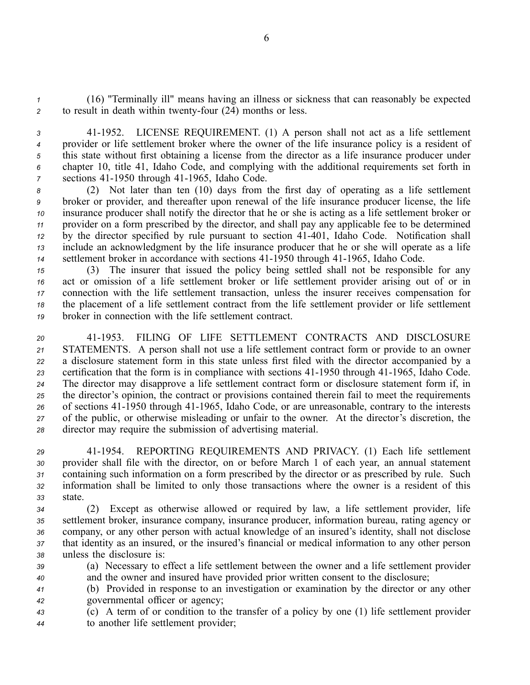*<sup>1</sup>* (16) "Terminally ill" means having an illness or sickness that can reasonably be expected 2 to result in death within twenty-four (24) months or less.

 411952. LICENSE REQUIREMENT. (1) A person shall not act as <sup>a</sup> life settlement provider or life settlement broker where the owner of the life insurance policy is <sup>a</sup> resident of this state without first obtaining <sup>a</sup> license from the director as <sup>a</sup> life insurance producer under chapter 10, title 41, Idaho Code, and complying with the additional requirements set forth in *z* sections 41-1950 through 41-1965, Idaho Code.

 (2) Not later than ten (10) days from the first day of operating as <sup>a</sup> life settlement broker or provider, and thereafter upon renewal of the life insurance producer license, the life insurance producer shall notify the director that he or she is acting as <sup>a</sup> life settlement broker or provider on <sup>a</sup> form prescribed by the director, and shall pay any applicable fee to be determined by the director specified by rule pursuant to section 41-401, Idaho Code. Notification shall include an acknowledgment by the life insurance producer that he or she will operate as <sup>a</sup> life 14 settlement broker in accordance with sections 41-1950 through 41-1965, Idaho Code.

 (3) The insurer that issued the policy being settled shall not be responsible for any act or omission of <sup>a</sup> life settlement broker or life settlement provider arising out of or in connection with the life settlement transaction, unless the insurer receives compensation for the placement of <sup>a</sup> life settlement contract from the life settlement provider or life settlement broker in connection with the life settlement contract.

 411953. FILING OF LIFE SETTLEMENT CONTRACTS AND DISCLOSURE STATEMENTS. A person shall not use <sup>a</sup> life settlement contract form or provide to an owner <sup>a</sup> disclosure statement form in this state unless first filed with the director accompanied by <sup>a</sup> 23 certification that the form is in compliance with sections 41-1950 through 41-1965, Idaho Code. The director may disapprove <sup>a</sup> life settlement contract form or disclosure statement form if, in the director's opinion, the contract or provisions contained therein fail to meet the requirements 26 of sections 41-1950 through 41-1965, Idaho Code, or are unreasonable, contrary to the interests of the public, or otherwise misleading or unfair to the owner. At the director's discretion, the director may require the submission of advertising material.

 411954. REPORTING REQUIREMENTS AND PRIVACY. (1) Each life settlement provider shall file with the director, on or before March 1 of each year, an annual statement containing such information on <sup>a</sup> form prescribed by the director or as prescribed by rule. Such information shall be limited to only those transactions where the owner is <sup>a</sup> resident of this *33* state.

 (2) Except as otherwise allowed or required by law, <sup>a</sup> life settlement provider, life settlement broker, insurance company, insurance producer, information bureau, rating agency or company, or any other person with actual knowledge of an insured's identity, shall not disclose that identity as an insured, or the insured's financial or medical information to any other person unless the disclosure is:

*<sup>39</sup>* (a) Necessary to effect <sup>a</sup> life settlement between the owner and <sup>a</sup> life settlement provider *<sup>40</sup>* and the owner and insured have provided prior written consent to the disclosure;

*<sup>41</sup>* (b) Provided in response to an investigation or examination by the director or any other *<sup>42</sup>* governmental officer or agency;

*<sup>43</sup>* (c) A term of or condition to the transfer of <sup>a</sup> policy by one (1) life settlement provider *<sup>44</sup>* to another life settlement provider;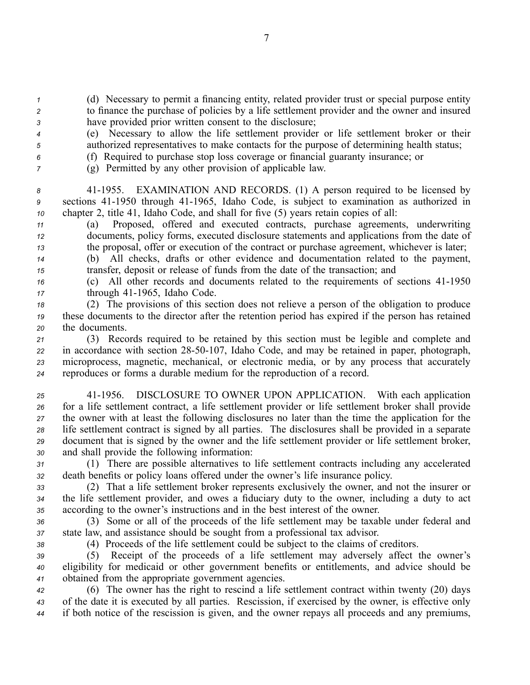*<sup>1</sup>* (d) Necessary to permit <sup>a</sup> financing entity, related provider trust or special purpose entity *<sup>2</sup>* to finance the purchase of policies by <sup>a</sup> life settlement provider and the owner and insured *<sup>3</sup>* have provided prior written consent to the disclosure;

- *<sup>4</sup>* (e) Necessary to allow the life settlement provider or life settlement broker or their *<sup>5</sup>* authorized representatives to make contacts for the purpose of determining health status;
- *<sup>6</sup>* (f) Required to purchase stop loss coverage or financial guaranty insurance; or
- *<sup>7</sup>* (g) Permitted by any other provision of applicable law.

*<sup>8</sup>* 411955. EXAMINATION AND RECORDS. (1) A person required to be licensed by <sup>9</sup> sections 41-1950 through 41-1965, Idaho Code, is subject to examination as authorized in *<sup>10</sup>* chapter 2, title 41, Idaho Code, and shall for five (5) years retain copies of all:

*<sup>11</sup>* (a) Proposed, offered and executed contracts, purchase agreements, underwriting *<sup>12</sup>* documents, policy forms, executed disclosure statements and applications from the date of *<sup>13</sup>* the proposal, offer or execution of the contract or purchase agreement, whichever is later;

*<sup>14</sup>* (b) All checks, drafts or other evidence and documentation related to the payment, *<sup>15</sup>* transfer, deposit or release of funds from the date of the transaction; and

*16* (c) All other records and documents related to the requirements of sections 41-1950 17 through 41-1965, Idaho Code.

*<sup>18</sup>* (2) The provisions of this section does not relieve <sup>a</sup> person of the obligation to produce *<sup>19</sup>* these documents to the director after the retention period has expired if the person has retained *<sup>20</sup>* the documents.

 (3) Records required to be retained by this section must be legible and complete and in accordance with section 2850107, Idaho Code, and may be retained in paper, photograph, microprocess, magnetic, mechanical, or electronic media, or by any process that accurately reproduces or forms <sup>a</sup> durable medium for the reproduction of <sup>a</sup> record.

 411956. DISCLOSURE TO OWNER UPON APPLICATION. With each application for <sup>a</sup> life settlement contract, <sup>a</sup> life settlement provider or life settlement broker shall provide the owner with at least the following disclosures no later than the time the application for the life settlement contract is signed by all parties. The disclosures shall be provided in <sup>a</sup> separate document that is signed by the owner and the life settlement provider or life settlement broker, and shall provide the following information:

*<sup>31</sup>* (1) There are possible alternatives to life settlement contracts including any accelerated *<sup>32</sup>* death benefits or policy loans offered under the owner's life insurance policy.

*<sup>33</sup>* (2) That <sup>a</sup> life settlement broker represents exclusively the owner, and not the insurer or *<sup>34</sup>* the life settlement provider, and owes <sup>a</sup> fiduciary duty to the owner, including <sup>a</sup> duty to act *<sup>35</sup>* according to the owner's instructions and in the best interest of the owner.

*<sup>36</sup>* (3) Some or all of the proceeds of the life settlement may be taxable under federal and *<sup>37</sup>* state law, and assistance should be sought from <sup>a</sup> professional tax advisor.

*<sup>38</sup>* (4) Proceeds of the life settlement could be subject to the claims of creditors.

*<sup>39</sup>* (5) Receipt of the proceeds of <sup>a</sup> life settlement may adversely affect the owner's *<sup>40</sup>* eligibility for medicaid or other governmen<sup>t</sup> benefits or entitlements, and advice should be *<sup>41</sup>* obtained from the appropriate governmen<sup>t</sup> agencies.

*<sup>42</sup>* (6) The owner has the right to rescind <sup>a</sup> life settlement contract within twenty (20) days *<sup>43</sup>* of the date it is executed by all parties. Rescission, if exercised by the owner, is effective only *<sup>44</sup>* if both notice of the rescission is given, and the owner repays all proceeds and any premiums,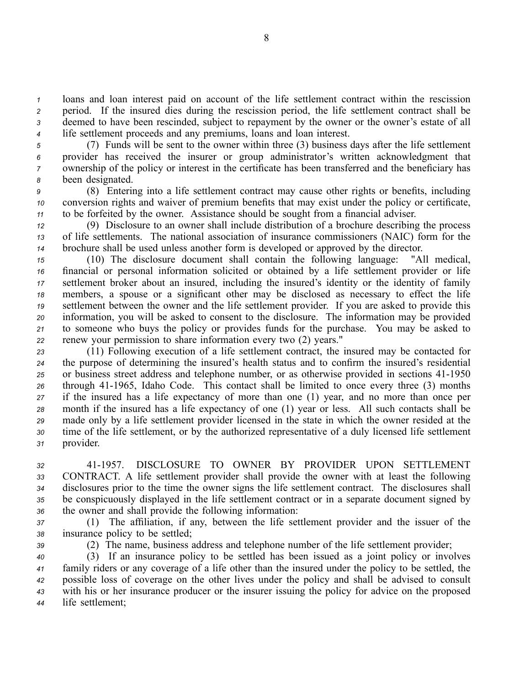loans and loan interest paid on account of the life settlement contract within the rescission period. If the insured dies during the rescission period, the life settlement contract shall be deemed to have been rescinded, subject to repaymen<sup>t</sup> by the owner or the owner's estate of all life settlement proceeds and any premiums, loans and loan interest.

 (7) Funds will be sent to the owner within three (3) business days after the life settlement provider has received the insurer or group administrator's written acknowledgment that ownership of the policy or interest in the certificate has been transferred and the beneficiary has been designated.

*<sup>9</sup>* (8) Entering into <sup>a</sup> life settlement contract may cause other rights or benefits, including *<sup>10</sup>* conversion rights and waiver of premium benefits that may exist under the policy or certificate, *<sup>11</sup>* to be forfeited by the owner. Assistance should be sought from <sup>a</sup> financial adviser.

*<sup>12</sup>* (9) Disclosure to an owner shall include distribution of <sup>a</sup> brochure describing the process *<sup>13</sup>* of life settlements. The national association of insurance commissioners (NAIC) form for the *14* brochure shall be used unless another form is developed or approved by the director.<br>
(10) The disclosure document shall contain the following language: "All medical.

 (10) The disclosure document shall contain the following language: financial or personal information solicited or obtained by <sup>a</sup> life settlement provider or life settlement broker about an insured, including the insured's identity or the identity of family members, <sup>a</sup> spouse or <sup>a</sup> significant other may be disclosed as necessary to effect the life settlement between the owner and the life settlement provider. If you are asked to provide this information, you will be asked to consent to the disclosure. The information may be provided to someone who buys the policy or provides funds for the purchase. You may be asked to renew your permission to share information every two (2) years."

 (11) Following execution of <sup>a</sup> life settlement contract, the insured may be contacted for the purpose of determining the insured's health status and to confirm the insured's residential 25 or business street address and telephone number, or as otherwise provided in sections 41-1950 26 through 41-1965, Idaho Code. This contact shall be limited to once every three (3) months if the insured has <sup>a</sup> life expectancy of more than one (1) year, and no more than once per month if the insured has <sup>a</sup> life expectancy of one (1) year or less. All such contacts shall be made only by <sup>a</sup> life settlement provider licensed in the state in which the owner resided at the time of the life settlement, or by the authorized representative of <sup>a</sup> duly licensed life settlement provider.

 411957. DISCLOSURE TO OWNER BY PROVIDER UPON SETTLEMENT CONTRACT. A life settlement provider shall provide the owner with at least the following disclosures prior to the time the owner signs the life settlement contract. The disclosures shall be conspicuously displayed in the life settlement contract or in <sup>a</sup> separate document signed by the owner and shall provide the following information:

*<sup>37</sup>* (1) The affiliation, if any, between the life settlement provider and the issuer of the *<sup>38</sup>* insurance policy to be settled;

*<sup>39</sup>* (2) The name, business address and telephone number of the life settlement provider;

 (3) If an insurance policy to be settled has been issued as <sup>a</sup> joint policy or involves family riders or any coverage of <sup>a</sup> life other than the insured under the policy to be settled, the possible loss of coverage on the other lives under the policy and shall be advised to consult with his or her insurance producer or the insurer issuing the policy for advice on the proposed life settlement;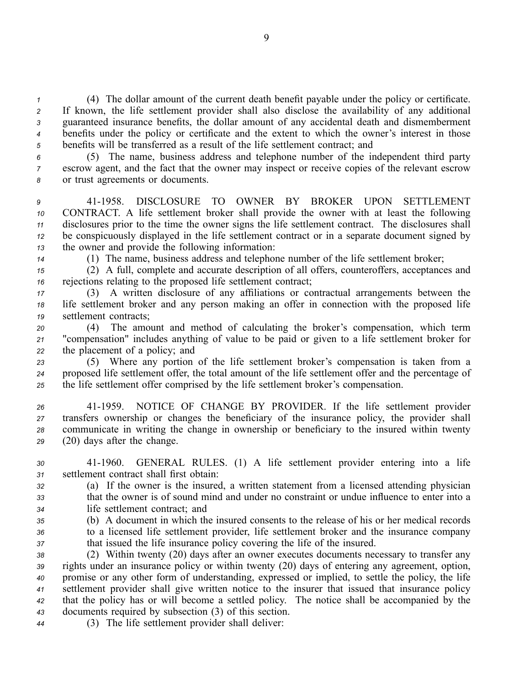(4) The dollar amount of the current death benefit payable under the policy or certificate. If known, the life settlement provider shall also disclose the availability of any additional guaranteed insurance benefits, the dollar amount of any accidental death and dismemberment benefits under the policy or certificate and the extent to which the owner's interest in those benefits will be transferred as <sup>a</sup> result of the life settlement contract; and

*<sup>6</sup>* (5) The name, business address and telephone number of the independent third party *<sup>7</sup>* escrow agent, and the fact that the owner may inspect or receive copies of the relevant escrow *<sup>8</sup>* or trust agreements or documents.

 411958. DISCLOSURE TO OWNER BY BROKER UPON SETTLEMENT CONTRACT. A life settlement broker shall provide the owner with at least the following disclosures prior to the time the owner signs the life settlement contract. The disclosures shall be conspicuously displayed in the life settlement contract or in <sup>a</sup> separate document signed by the owner and provide the following information:

*<sup>14</sup>* (1) The name, business address and telephone number of the life settlement broker;

*<sup>15</sup>* (2) A full, complete and accurate description of all offers, counteroffers, acceptances and *<sup>16</sup>* rejections relating to the proposed life settlement contract;

*<sup>17</sup>* (3) A written disclosure of any affiliations or contractual arrangements between the *<sup>18</sup>* life settlement broker and any person making an offer in connection with the proposed life *<sup>19</sup>* settlement contracts;

*<sup>20</sup>* (4) The amount and method of calculating the broker's compensation, which term *<sup>21</sup>* "compensation" includes anything of value to be paid or given to <sup>a</sup> life settlement broker for *<sup>22</sup>* the placement of <sup>a</sup> policy; and

*<sup>23</sup>* (5) Where any portion of the life settlement broker's compensation is taken from <sup>a</sup> *<sup>24</sup>* proposed life settlement offer, the total amount of the life settlement offer and the percentage of *<sup>25</sup>* the life settlement offer comprised by the life settlement broker's compensation.

 411959. NOTICE OF CHANGE BY PROVIDER. If the life settlement provider transfers ownership or changes the beneficiary of the insurance policy, the provider shall communicate in writing the change in ownership or beneficiary to the insured within twenty (20) days after the change.

*<sup>30</sup>* 411960. GENERAL RULES. (1) A life settlement provider entering into <sup>a</sup> life *<sup>31</sup>* settlement contract shall first obtain:

*<sup>32</sup>* (a) If the owner is the insured, <sup>a</sup> written statement from <sup>a</sup> licensed attending physician *<sup>33</sup>* that the owner is of sound mind and under no constraint or undue influence to enter into <sup>a</sup> *<sup>34</sup>* life settlement contract; and

*<sup>35</sup>* (b) A document in which the insured consents to the release of his or her medical records *<sup>36</sup>* to <sup>a</sup> licensed life settlement provider, life settlement broker and the insurance company *<sup>37</sup>* that issued the life insurance policy covering the life of the insured.

 (2) Within twenty (20) days after an owner executes documents necessary to transfer any rights under an insurance policy or within twenty (20) days of entering any agreement, option, promise or any other form of understanding, expressed or implied, to settle the policy, the life settlement provider shall give written notice to the insurer that issued that insurance policy that the policy has or will become <sup>a</sup> settled policy. The notice shall be accompanied by the documents required by subsection (3) of this section.

*<sup>44</sup>* (3) The life settlement provider shall deliver: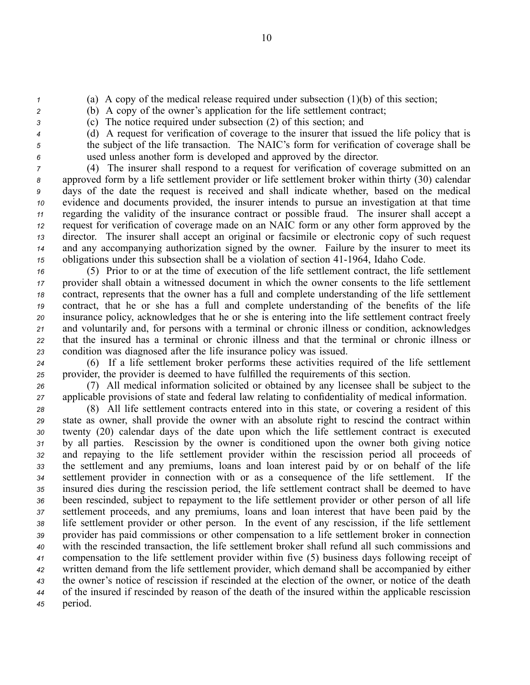- *<sup>1</sup>* (a) A copy of the medical release required under subsection (1)(b) of this section;
- *<sup>2</sup>* (b) A copy of the owner's application for the life settlement contract;
- *<sup>3</sup>* (c) The notice required under subsection (2) of this section; and
- 
- *<sup>4</sup>* (d) A reques<sup>t</sup> for verification of coverage to the insurer that issued the life policy that is *<sup>5</sup>* the subject of the life transaction. The NAIC's form for verification of coverage shall be *<sup>6</sup>* used unless another form is developed and approved by the director.

 (4) The insurer shall respond to <sup>a</sup> reques<sup>t</sup> for verification of coverage submitted on an approved form by <sup>a</sup> life settlement provider or life settlement broker within thirty (30) calendar days of the date the reques<sup>t</sup> is received and shall indicate whether, based on the medical evidence and documents provided, the insurer intends to pursue an investigation at that time regarding the validity of the insurance contract or possible fraud. The insurer shall accep<sup>t</sup> <sup>a</sup> reques<sup>t</sup> for verification of coverage made on an NAIC form or any other form approved by the director. The insurer shall accep<sup>t</sup> an original or facsimile or electronic copy of such reques<sup>t</sup> and any accompanying authorization signed by the owner. Failure by the insurer to meet its obligations under this subsection shall be a violation of section 41-1964, Idaho Code.

 (5) Prior to or at the time of execution of the life settlement contract, the life settlement provider shall obtain <sup>a</sup> witnessed document in which the owner consents to the life settlement contract, represents that the owner has <sup>a</sup> full and complete understanding of the life settlement contract, that he or she has <sup>a</sup> full and complete understanding of the benefits of the life insurance policy, acknowledges that he or she is entering into the life settlement contract freely and voluntarily and, for persons with <sup>a</sup> terminal or chronic illness or condition, acknowledges that the insured has <sup>a</sup> terminal or chronic illness and that the terminal or chronic illness or condition was diagnosed after the life insurance policy was issued.

*<sup>24</sup>* (6) If <sup>a</sup> life settlement broker performs these activities required of the life settlement *<sup>25</sup>* provider, the provider is deemed to have fulfilled the requirements of this section.

*<sup>26</sup>* (7) All medical information solicited or obtained by any licensee shall be subject to the *<sup>27</sup>* applicable provisions of state and federal law relating to confidentiality of medical information.

 (8) All life settlement contracts entered into in this state, or covering <sup>a</sup> resident of this state as owner, shall provide the owner with an absolute right to rescind the contract within twenty (20) calendar days of the date upon which the life settlement contract is executed by all parties. Rescission by the owner is conditioned upon the owner both giving notice and repaying to the life settlement provider within the rescission period all proceeds of the settlement and any premiums, loans and loan interest paid by or on behalf of the life settlement provider in connection with or as <sup>a</sup> consequence of the life settlement. If the insured dies during the rescission period, the life settlement contract shall be deemed to have been rescinded, subject to repaymen<sup>t</sup> to the life settlement provider or other person of all life settlement proceeds, and any premiums, loans and loan interest that have been paid by the life settlement provider or other person. In the event of any rescission, if the life settlement provider has paid commissions or other compensation to <sup>a</sup> life settlement broker in connection with the rescinded transaction, the life settlement broker shall refund all such commissions and compensation to the life settlement provider within five (5) business days following receipt of written demand from the life settlement provider, which demand shall be accompanied by either the owner's notice of rescission if rescinded at the election of the owner, or notice of the death of the insured if rescinded by reason of the death of the insured within the applicable rescission *<sup>45</sup>* period.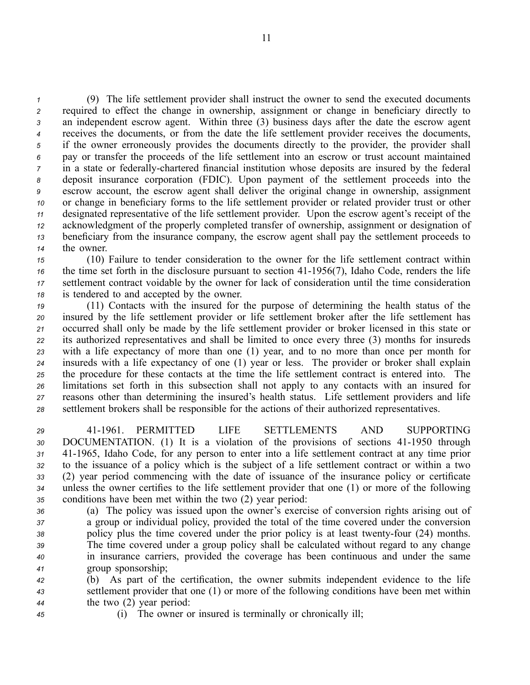(9) The life settlement provider shall instruct the owner to send the executed documents required to effect the change in ownership, assignment or change in beneficiary directly to an independent escrow agent. Within three (3) business days after the date the escrow agen<sup>t</sup> receives the documents, or from the date the life settlement provider receives the documents, if the owner erroneously provides the documents directly to the provider, the provider shall pay or transfer the proceeds of the life settlement into an escrow or trust account maintained in a state or federally-chartered financial institution whose deposits are insured by the federal deposit insurance corporation (FDIC). Upon paymen<sup>t</sup> of the settlement proceeds into the escrow account, the escrow agen<sup>t</sup> shall deliver the original change in ownership, assignment or change in beneficiary forms to the life settlement provider or related provider trust or other designated representative of the life settlement provider. Upon the escrow agent's receipt of the acknowledgment of the properly completed transfer of ownership, assignment or designation of beneficiary from the insurance company, the escrow agen<sup>t</sup> shall pay the settlement proceeds to the owner.

 (10) Failure to tender consideration to the owner for the life settlement contract within the time set forth in the disclosure pursuant to section 41-1956(7), Idaho Code, renders the life settlement contract voidable by the owner for lack of consideration until the time consideration is tendered to and accepted by the owner.

 (11) Contacts with the insured for the purpose of determining the health status of the insured by the life settlement provider or life settlement broker after the life settlement has occurred shall only be made by the life settlement provider or broker licensed in this state or its authorized representatives and shall be limited to once every three (3) months for insureds with <sup>a</sup> life expectancy of more than one (1) year, and to no more than once per month for insureds with <sup>a</sup> life expectancy of one (1) year or less. The provider or broker shall explain the procedure for these contacts at the time the life settlement contract is entered into. The limitations set forth in this subsection shall not apply to any contacts with an insured for reasons other than determining the insured's health status. Life settlement providers and life settlement brokers shall be responsible for the actions of their authorized representatives.

 411961. PERMITTED LIFE SETTLEMENTS AND SUPPORTING 30 DOCUMENTATION. (1) It is a violation of the provisions of sections 41-1950 through 411965, Idaho Code, for any person to enter into <sup>a</sup> life settlement contract at any time prior to the issuance of <sup>a</sup> policy which is the subject of <sup>a</sup> life settlement contract or within <sup>a</sup> two (2) year period commencing with the date of issuance of the insurance policy or certificate unless the owner certifies to the life settlement provider that one (1) or more of the following conditions have been met within the two (2) year period:

 (a) The policy was issued upon the owner's exercise of conversion rights arising out of <sup>a</sup> group or individual policy, provided the total of the time covered under the conversion 38 policy plus the time covered under the prior policy is at least twenty-four (24) months. The time covered under <sup>a</sup> group policy shall be calculated without regard to any change in insurance carriers, provided the coverage has been continuous and under the same group sponsorship;

*<sup>42</sup>* (b) As par<sup>t</sup> of the certification, the owner submits independent evidence to the life *<sup>43</sup>* settlement provider that one (1) or more of the following conditions have been met within *<sup>44</sup>* the two (2) year period:

*<sup>45</sup>* (i) The owner or insured is terminally or chronically ill;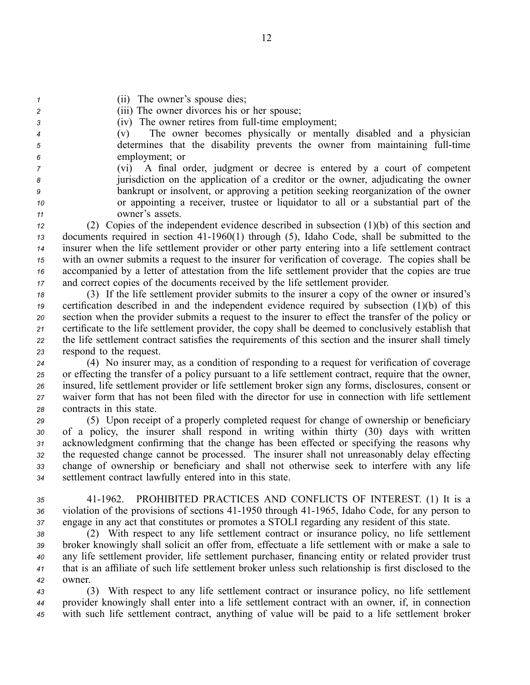- *<sup>1</sup>* (ii) The owner's spouse dies;
- *<sup>2</sup>* (iii) The owner divorces his or her spouse;
- *3* (iv) The owner retires from full-time employment;
- *<sup>4</sup>* (v) The owner becomes physically or mentally disabled and <sup>a</sup> physician *5* determines that the disability prevents the owner from maintaining full-time *<sup>6</sup>* employment; or
- *<sup>7</sup>* (vi) A final order, judgment or decree is entered by <sup>a</sup> court of competent *<sup>8</sup>* jurisdiction on the application of <sup>a</sup> creditor or the owner, adjudicating the owner *<sup>9</sup>* bankrupt or insolvent, or approving <sup>a</sup> petition seeking reorganization of the owner *<sup>10</sup>* or appointing <sup>a</sup> receiver, trustee or liquidator to all or <sup>a</sup> substantial par<sup>t</sup> of the *<sup>11</sup>* owner's assets.

 (2) Copies of the independent evidence described in subsection (1)(b) of this section and documents required in section 411960(1) through (5), Idaho Code, shall be submitted to the insurer when the life settlement provider or other party entering into <sup>a</sup> life settlement contract with an owner submits <sup>a</sup> reques<sup>t</sup> to the insurer for verification of coverage. The copies shall be accompanied by <sup>a</sup> letter of attestation from the life settlement provider that the copies are true and correct copies of the documents received by the life settlement provider.

 (3) If the life settlement provider submits to the insurer <sup>a</sup> copy of the owner or insured's certification described in and the independent evidence required by subsection (1)(b) of this section when the provider submits <sup>a</sup> reques<sup>t</sup> to the insurer to effect the transfer of the policy or certificate to the life settlement provider, the copy shall be deemed to conclusively establish that the life settlement contract satisfies the requirements of this section and the insurer shall timely respond to the request.

 (4) No insurer may, as <sup>a</sup> condition of responding to <sup>a</sup> reques<sup>t</sup> for verification of coverage or effecting the transfer of <sup>a</sup> policy pursuan<sup>t</sup> to <sup>a</sup> life settlement contract, require that the owner, insured, life settlement provider or life settlement broker sign any forms, disclosures, consent or waiver form that has not been filed with the director for use in connection with life settlement contracts in this state.

 (5) Upon receipt of <sup>a</sup> properly completed reques<sup>t</sup> for change of ownership or beneficiary of <sup>a</sup> policy, the insurer shall respond in writing within thirty (30) days with written acknowledgment confirming that the change has been effected or specifying the reasons why the requested change cannot be processed. The insurer shall not unreasonably delay effecting change of ownership or beneficiary and shall not otherwise seek to interfere with any life settlement contract lawfully entered into in this state.

*<sup>35</sup>* 411962. PROHIBITED PRACTICES AND CONFLICTS OF INTEREST. (1) It is <sup>a</sup> 36 violation of the provisions of sections 41-1950 through 41-1965, Idaho Code, for any person to *<sup>37</sup>* engage in any act that constitutes or promotes <sup>a</sup> STOLI regarding any resident of this state.

 (2) With respec<sup>t</sup> to any life settlement contract or insurance policy, no life settlement broker knowingly shall solicit an offer from, effectuate <sup>a</sup> life settlement with or make <sup>a</sup> sale to any life settlement provider, life settlement purchaser, financing entity or related provider trust that is an affiliate of such life settlement broker unless such relationship is first disclosed to the *42* owner.

*<sup>43</sup>* (3) With respec<sup>t</sup> to any life settlement contract or insurance policy, no life settlement *<sup>44</sup>* provider knowingly shall enter into <sup>a</sup> life settlement contract with an owner, if, in connection *<sup>45</sup>* with such life settlement contract, anything of value will be paid to <sup>a</sup> life settlement broker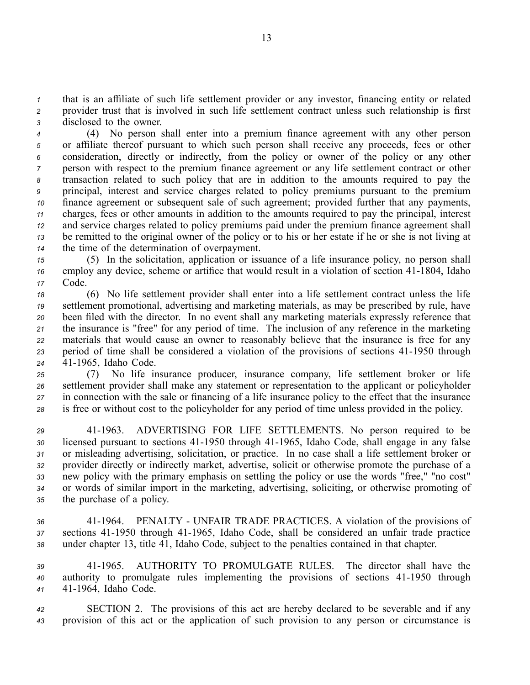*<sup>1</sup>* that is an affiliate of such life settlement provider or any investor, financing entity or related *<sup>2</sup>* provider trust that is involved in such life settlement contract unless such relationship is first *<sup>3</sup>* disclosed to the owner.

 (4) No person shall enter into <sup>a</sup> premium finance agreemen<sup>t</sup> with any other person or affiliate thereof pursuan<sup>t</sup> to which such person shall receive any proceeds, fees or other consideration, directly or indirectly, from the policy or owner of the policy or any other person with respec<sup>t</sup> to the premium finance agreemen<sup>t</sup> or any life settlement contract or other transaction related to such policy that are in addition to the amounts required to pay the principal, interest and service charges related to policy premiums pursuan<sup>t</sup> to the premium finance agreemen<sup>t</sup> or subsequent sale of such agreement; provided further that any payments, charges, fees or other amounts in addition to the amounts required to pay the principal, interest and service charges related to policy premiums paid under the premium finance agreemen<sup>t</sup> shall be remitted to the original owner of the policy or to his or her estate if he or she is not living at the time of the determination of overpayment.

*<sup>15</sup>* (5) In the solicitation, application or issuance of <sup>a</sup> life insurance policy, no person shall <sup>16</sup> employ any device, scheme or artifice that would result in a violation of section 41-1804, Idaho *<sup>17</sup>* Code.

 (6) No life settlement provider shall enter into <sup>a</sup> life settlement contract unless the life settlement promotional, advertising and marketing materials, as may be prescribed by rule, have been filed with the director. In no event shall any marketing materials expressly reference that the insurance is "free" for any period of time. The inclusion of any reference in the marketing materials that would cause an owner to reasonably believe that the insurance is free for any 23 period of time shall be considered a violation of the provisions of sections 41-1950 through 411965, Idaho Code.

 (7) No life insurance producer, insurance company, life settlement broker or life settlement provider shall make any statement or representation to the applicant or policyholder in connection with the sale or financing of <sup>a</sup> life insurance policy to the effect that the insurance is free or without cost to the policyholder for any period of time unless provided in the policy.

 411963. ADVERTISING FOR LIFE SETTLEMENTS. No person required to be 30 licensed pursuant to sections 41-1950 through 41-1965, Idaho Code, shall engage in any false or misleading advertising, solicitation, or practice. In no case shall <sup>a</sup> life settlement broker or provider directly or indirectly market, advertise, solicit or otherwise promote the purchase of <sup>a</sup> new policy with the primary emphasis on settling the policy or use the words "free," "no cost" or words of similar import in the marketing, advertising, soliciting, or otherwise promoting of the purchase of <sup>a</sup> policy.

*<sup>36</sup>* 411964. PENALTY UNFAIR TRADE PRACTICES. A violation of the provisions of 37 sections 41-1950 through 41-1965, Idaho Code, shall be considered an unfair trade practice *<sup>38</sup>* under chapter 13, title 41, Idaho Code, subject to the penalties contained in that chapter.

*<sup>39</sup>* 411965. AUTHORITY TO PROMULGATE RULES. The director shall have the 40 authority to promulgate rules implementing the provisions of sections 41-1950 through 41 41-1964, Idaho Code.

*<sup>42</sup>* SECTION 2. The provisions of this act are hereby declared to be severable and if any *<sup>43</sup>* provision of this act or the application of such provision to any person or circumstance is